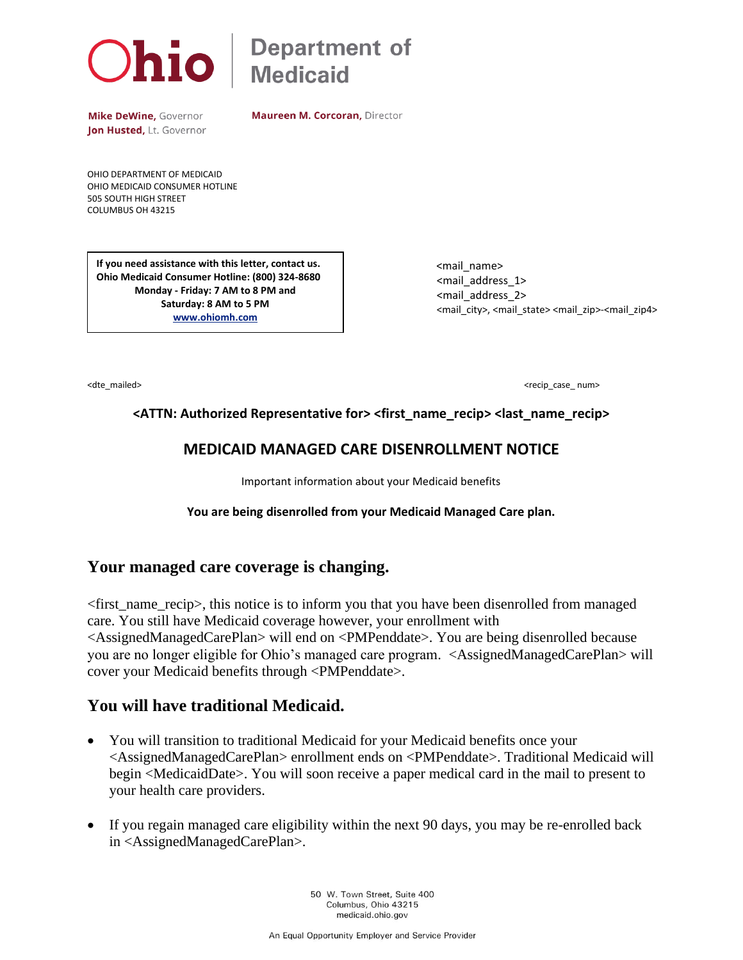

# $\Delta$   $\overline{\text{N}}$  Department of

Mike DeWine, Governor Jon Husted, Lt. Governor **Maureen M. Corcoran, Director** 

OHIO DEPARTMENT OF MEDICAID OHIO MEDICAID CONSUMER HOTLINE 505 SOUTH HIGH STREET COLUMBUS OH 43215

**If you need assistance with this letter, contact us. Ohio Medicaid Consumer Hotline: (800) 324-8680 Monday - Friday: 7 AM to 8 PM and Saturday: 8 AM to 5 PM [www.ohiomh.com](http://www.ohiomh.com/)**

 <mail\_name> <mail\_address\_1> <mail\_address\_2> <mail\_city>, <mail\_state> <mail\_zip>-<mail\_zip4>

<dte\_mailed> <br/> <dte\_mailed> <dte\_mailed> <dte\_mailed> <dte\_mailed> <dte\_mailed> <dte\_mailed> <dte\_mailed> <dte\_mailed> <dte\_mailed> <dte\_mailed> <dte\_mailed> <dte\_mailed> <dte\_mailed> <dte\_mailed> <dte\_mailed> <dte\_mai

### **<ATTN: Authorized Representative for> <first\_name\_recip> <last\_name\_recip>**

## **MEDICAID MANAGED CARE DISENROLLMENT NOTICE**

Important information about your Medicaid benefits

#### **You are being disenrolled from your Medicaid Managed Care plan.**

## **Your managed care coverage is changing.**

<first\_name\_recip>, this notice is to inform you that you have been disenrolled from managed care. You still have Medicaid coverage however, your enrollment with <AssignedManagedCarePlan> will end on <PMPenddate>. You are being disenrolled because you are no longer eligible for Ohio's managed care program. <AssignedManagedCarePlan> will cover your Medicaid benefits through <PMPenddate>.

## **You will have traditional Medicaid.**

- You will transition to traditional Medicaid for your Medicaid benefits once your <AssignedManagedCarePlan> enrollment ends on <PMPenddate>. Traditional Medicaid will begin <MedicaidDate>. You will soon receive a paper medical card in the mail to present to your health care providers.
- If you regain managed care eligibility within the next 90 days, you may be re-enrolled back in <AssignedManagedCarePlan>.

50 W. Town Street, Suite 400 Columbus, Ohio 43215 medicaid.ohio.gov